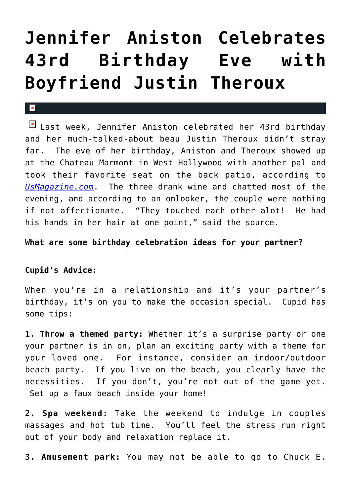## **[Jennifer Aniston Celebrates](https://cupidspulse.com/27411/jennifer-aniston-celebrates-43rd-birthday-boyfriend-justin-theroux/) [43rd Birthday Eve with](https://cupidspulse.com/27411/jennifer-aniston-celebrates-43rd-birthday-boyfriend-justin-theroux/) [Boyfriend Justin Theroux](https://cupidspulse.com/27411/jennifer-aniston-celebrates-43rd-birthday-boyfriend-justin-theroux/)**

## $\mathbf{R}$

 $\boxed{\times}$  Last week, Jennifer Aniston celebrated her 43rd birthday and her much-talked-about beau Justin Theroux didn't stray far. The eve of her birthday, Aniston and Theroux showed up at the Chateau Marmont in West Hollywood with another pal and took their favorite seat on the back patio, according to *[UsMagazine.com](http://www.usmagazine.com/celebrity-news/news/jennifer-aniston-celebrates-eve-of-43rd-birthday-with-wine----and-justin-theroux-2012112)*. The three drank wine and chatted most of the evening, and according to an onlooker, the couple were nothing if not affectionate. "They touched each other alot! He had his hands in her hair at one point," said the source.

## **What are some birthday celebration ideas for your partner?**

## **Cupid's Advice:**

When you're in a relationship and it's your partner's birthday, it's on you to make the occasion special. Cupid has some tips:

**1. Throw a themed party:** Whether it's a surprise party or one your partner is in on, plan an exciting party with a theme for your loved one. For instance, consider an indoor/outdoor beach party. If you live on the beach, you clearly have the necessities. If you don't, you're not out of the game yet. Set up a faux beach inside your home!

**2. Spa weekend:** Take the weekend to indulge in couples massages and hot tub time. You'll feel the stress run right out of your body and relaxation replace it.

**3. Amusement park:** You may not be able to go to Chuck E.